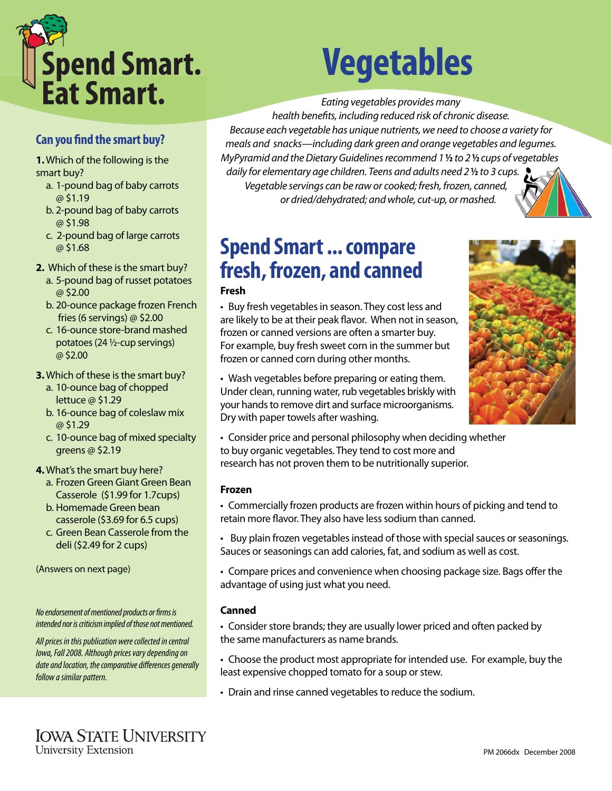

#### **Can you find the smart buy?**

**1.** Which of the following is the smart buy?

- a. 1-pound bag of baby carrots @ \$1.19
- b. 2-pound bag of baby carrots @ \$1.98
- c. 2-pound bag of large carrots @ \$1.68
- **2.** Which of these is the smart buy?
	- a. 5-pound bag of russet potatoes @ \$2.00
	- b. 20-ounce package frozen French fries (6 servings) @ \$2.00
	- c. 16-ounce store-brand mashed potatoes (24 ½-cup servings) @ \$2.00
- **3.** Which of these is the smart buy?
	- a. 10-ounce bag of chopped lettuce @ \$1.29
	- b. 16-ounce bag of coleslaw mix @ \$1.29
	- c. 10-ounce bag of mixed specialty greens @ \$2.19
- **4.** What's the smart buy here?
	- a. Frozen Green Giant Green Bean Casserole (\$1.99 for 1.7cups)
	- b. Homemade Green bean casserole (\$3.69 for 6.5 cups)
	- c. Green Bean Casserole from the deli (\$2.49 for 2 cups)

(Answers on next page)

No endorsement of mentioned products or firms is intended nor is criticism implied of those not mentioned.

All prices in this publication were collected in central Iowa, Fall 2008. Although prices vary depending on date and location, the comparative differences generally follow a similar pattern.

# **Vegetables**

Eating vegetables provides many

health benefits, including reduced risk of chronic disease. Because each vegetable has unique nutrients, we need to choose a variety for meals and snacks—including dark green and orange vegetables and legumes. MyPyramid and the Dietary Guidelines recommend 1 **½** to 2 **½** cups of vegetables daily for elementary age children. Teens and adults need 2 **½** to 3 cups. Vegetable servings can be raw or cooked; fresh, frozen, canned, or dried/dehydrated; and whole, cut-up, or mashed.

### **Spend Smart ... compare fresh, frozen, and canned**

#### **Fresh**

• Buy fresh vegetables in season. They cost less and are likely to be at their peak flavor. When not in season, frozen or canned versions are often a smarter buy. For example, buy fresh sweet corn in the summer but frozen or canned corn during other months.



• Wash vegetables before preparing or eating them. Under clean, running water, rub vegetables briskly with your hands to remove dirt and surface microorganisms. Dry with paper towels after washing.

• Consider price and personal philosophy when deciding whether to buy organic vegetables. They tend to cost more and research has not proven them to be nutritionally superior.

#### **Frozen**

• Commercially frozen products are frozen within hours of picking and tend to retain more flavor. They also have less sodium than canned.

• Buy plain frozen vegetables instead of those with special sauces or seasonings. Sauces or seasonings can add calories, fat, and sodium as well as cost.

• Compare prices and convenience when choosing package size. Bags offer the advantage of using just what you need.

#### **Canned**

• Consider store brands; they are usually lower priced and often packed by the same manufacturers as name brands.

• Choose the product most appropriate for intended use. For example, buy the least expensive chopped tomato for a soup or stew.

• Drain and rinse canned vegetables to reduce the sodium.